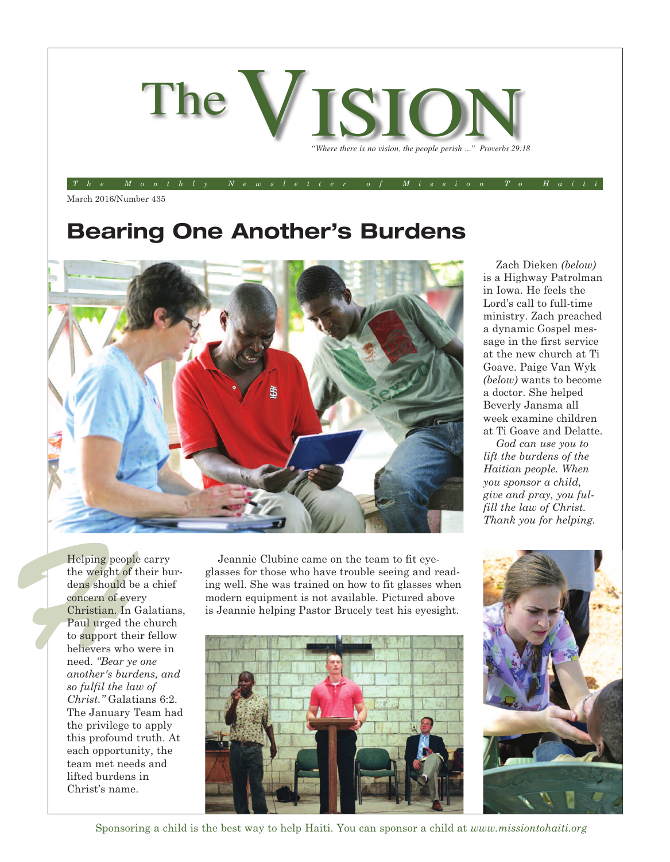

The Monthly Newsletter of Mission To Hait

March 2016/Number 435

### **Bearing One Another's Burdens**



Helping peop<br>the weight of<br>dens should<br>concern of ev<br>Christian. In<br>Paul urged t<br>to support th<br>believers whend. "Bear y<br>another's buy<br>another's buy<br>so fulfil the l Helping people carry the weight of their burdens should be a chief concern of every Christian. In Galatians, Paul urged the church to support their fellow believers who were in need. *"Bear ye one another's burdens, and so fulfil the law of Christ."* Galatians 6:2. The January Team had the privilege to apply this profound truth. At each opportunity, the team met needs and lifted burdens in Christ's name.

Jeannie Clubine came on the team to fit eyeglasses for those who have trouble seeing and reading well. She was trained on how to fit glasses when modern equipment is not available. Pictured above is Jeannie helping Pastor Brucely test his eyesight.



Zach Dieken *(below)* is a Highway Patrolman in Iowa. He feels the Lord's call to full-time ministry. Zach preached a dynamic Gospel message in the first service at the new church at Ti Goave. Paige Van Wyk *(below)* wants to become a doctor. She helped Beverly Jansma all week examine children at Ti Goave and Delatte.

*God can use you to lift the burdens of the Haitian people. When you sponsor a child, give and pray, you fulfill the law of Christ. Thank you for helping.*



Sponsoring a child is the best way to help Haiti. You can sponsor a child at *www.missiontohaiti.org*